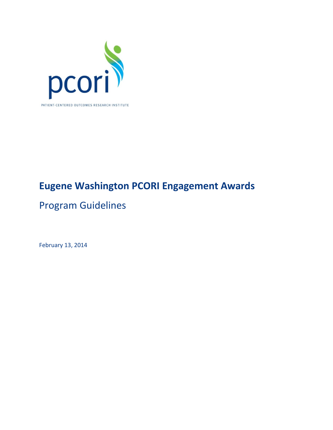

# **Eugene Washington PCORI Engagement Awards**

# Program Guidelines

February 13, 2014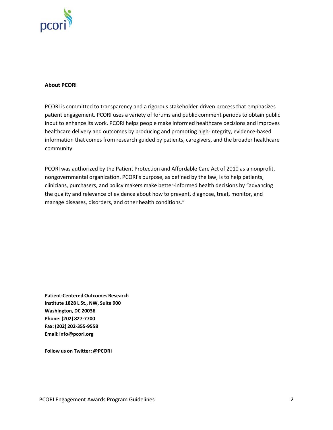

#### **About PCORI**

PCORI is committed to transparency and a rigorous stakeholder-driven process that emphasizes patient engagement. PCORI uses a variety of forums and public comment periods to obtain public input to enhance its work. PCORI helps people make informed healthcare decisions and improves healthcare delivery and outcomes by producing and promoting high-integrity, evidence-based information that comes from research guided by patients, caregivers, and the broader healthcare community.

PCORI was authorized by the Patient Protection and Affordable Care Act of 2010 as a nonprofit, nongovernmental organization. PCORI's purpose, as defined by the law, is to help patients, clinicians, purchasers, and policy makers make better-informed health decisions by "advancing the quality and relevance of evidence about how to prevent, diagnose, treat, monitor, and manage diseases, disorders, and other health conditions."

**Patient-Centered Outcomes Research Institute 1828 L St., NW, Suite 900 Washington, DC 20036 Phone: (202) 827-7700 Fax: (202) 202-355-9558 Email[:info@pcori.org](mailto:info@pcori.org)**

**Follow us on Twitter: @PCORI**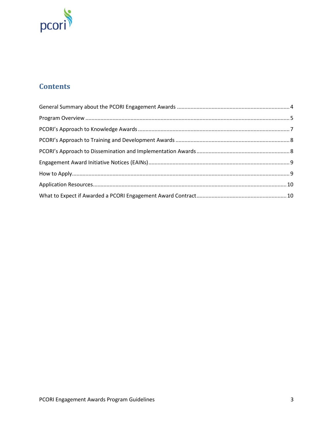

# **Contents**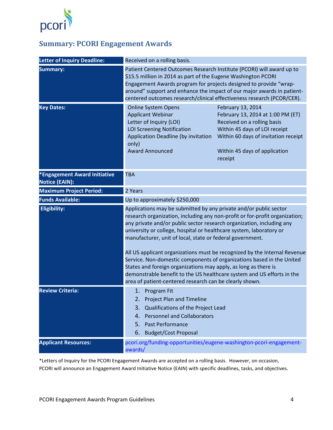

# <span id="page-3-0"></span>**Summary: PCORI Engagement Awards**

| <b>Letter of Inquiry Deadline:</b>                           | Received on a rolling basis.                                                                                                                                                                                                                                                                                                                                                                                                                                                                                                                                                                                                                                                                                                |                                                                                                                                                                                                            |  |
|--------------------------------------------------------------|-----------------------------------------------------------------------------------------------------------------------------------------------------------------------------------------------------------------------------------------------------------------------------------------------------------------------------------------------------------------------------------------------------------------------------------------------------------------------------------------------------------------------------------------------------------------------------------------------------------------------------------------------------------------------------------------------------------------------------|------------------------------------------------------------------------------------------------------------------------------------------------------------------------------------------------------------|--|
| <b>Summary:</b>                                              | Patient Centered Outcomes Research Institute (PCORI) will award up to<br>\$15.5 million in 2014 as part of the Eugene Washington PCORI<br>Engagement Awards program for projects designed to provide "wrap-<br>around" support and enhance the impact of our major awards in patient-<br>centered outcomes research/clinical effectiveness research (PCOR/CER).                                                                                                                                                                                                                                                                                                                                                             |                                                                                                                                                                                                            |  |
| <b>Key Dates:</b>                                            | <b>Online System Opens</b><br><b>Applicant Webinar</b><br>Letter of Inquiry (LOI)<br><b>LOI Screening Notification</b><br>Application Deadline (by invitation<br>only)<br><b>Award Announced</b>                                                                                                                                                                                                                                                                                                                                                                                                                                                                                                                            | February 13, 2014<br>February 13, 2014 at 1:00 PM (ET)<br>Received on a rolling basis<br>Within 45 days of LOI receipt<br>Within 60 days of invitation receipt<br>Within 45 days of application<br>receipt |  |
| <b>*Engagement Award Initiative</b><br><b>Notice (EAIN):</b> | <b>TBA</b>                                                                                                                                                                                                                                                                                                                                                                                                                                                                                                                                                                                                                                                                                                                  |                                                                                                                                                                                                            |  |
| <b>Maximum Project Period:</b>                               | 2 Years                                                                                                                                                                                                                                                                                                                                                                                                                                                                                                                                                                                                                                                                                                                     |                                                                                                                                                                                                            |  |
| <b>Funds Available:</b>                                      | Up to approximately \$250,000                                                                                                                                                                                                                                                                                                                                                                                                                                                                                                                                                                                                                                                                                               |                                                                                                                                                                                                            |  |
| <b>Eligibility:</b>                                          | Applications may be submitted by any private and/or public sector<br>research organization, including any non-profit or for-profit organization;<br>any private and/or public sector research organization, including any<br>university or college, hospital or healthcare system, laboratory or<br>manufacturer, unit of local, state or federal government.<br>All US applicant organizations must be recognized by the Internal Revenue<br>Service. Non-domestic components of organizations based in the United<br>States and foreign organizations may apply, as long as there is<br>demonstrable benefit to the US healthcare system and US efforts in the<br>area of patient-centered research can be clearly shown. |                                                                                                                                                                                                            |  |
| <b>Review Criteria:</b>                                      | 1. Program Fit<br><b>Project Plan and Timeline</b><br>2.<br>3. Qualifications of the Project Lead<br><b>Personnel and Collaborators</b><br>4.<br>5. Past Performance<br><b>Budget/Cost Proposal</b><br>6.                                                                                                                                                                                                                                                                                                                                                                                                                                                                                                                   |                                                                                                                                                                                                            |  |
| <b>Applicant Resources:</b>                                  | pcori.org/funding-opportunities/eugene-washington-pcori-engagement-<br>awards/                                                                                                                                                                                                                                                                                                                                                                                                                                                                                                                                                                                                                                              |                                                                                                                                                                                                            |  |

\*Letters of Inquiry for the PCORI Engagement Awards are accepted on a rolling basis. However, on occasion, PCORI will announce an Engagement Award Initiative Notice (EAIN) with specific deadlines, tasks, and objectives.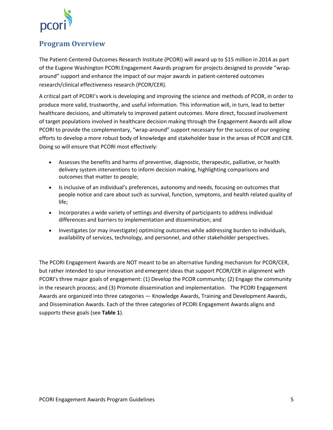

# <span id="page-4-0"></span>**Program Overview**

The Patient-Centered Outcomes Research Institute (PCORI) will award up to \$15 million in 2014 as part of the Eugene Washington PCORI Engagement Awards program for projects designed to provide "wraparound" support and enhance the impact of our major awards in patient-centered outcomes research/clinical effectiveness research (PCOR/CER).

A critical part of PCORI's work is developing and improving the science and methods of PCOR, in order to produce more valid, trustworthy, and useful information. This information will, in turn, lead to better healthcare decisions, and ultimately to improved patient outcomes. More direct, focused involvement of target populations involved in healthcare decision making through the Engagement Awards will allow PCORI to provide the complementary, "wrap-around" support necessary for the success of our ongoing efforts to develop a more robust body of knowledge and stakeholder base in the areas of PCOR and CER. Doing so will ensure that PCORI most effectively:

- Assesses the benefits and harms of preventive, diagnostic, therapeutic, palliative, or health delivery system interventions to inform decision making, highlighting comparisons and outcomes that matter to people;
- Is inclusive of an individual's preferences, autonomy and needs, focusing on outcomes that people notice and care about such as survival, function, symptoms, and health related quality of life;
- Incorporates a wide variety of settings and diversity of participants to address individual differences and barriers to implementation and dissemination; and
- Investigates (or may investigate) optimizing outcomes while addressing burden to individuals, availability of services, technology, and personnel, and other stakeholder perspectives.

The PCORI Engagement Awards are NOT meant to be an alternative funding mechanism for PCOR/CER, but rather intended to spur innovation and emergent ideas that support PCOR/CER in alignment with PCORI's three major goals of engagement: (1) Develop the PCOR community; (2) Engage the community in the research process; and (3) Promote dissemination and implementation. The PCORI Engagement Awards are organized into three categories — Knowledge Awards, Training and Development Awards, and Dissemination Awards. Each of the three categories of PCORI Engagement Awards aligns and supports these goals (see **Table 1**).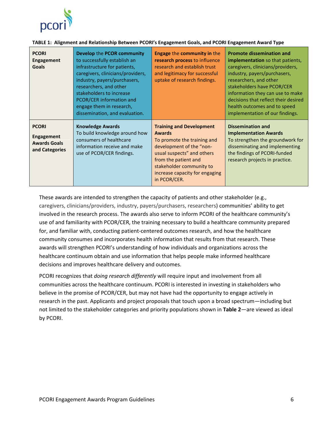

| <b>PCORI</b><br><b>Engagement</b><br><b>Goals</b>                          | Develop the PCOR community<br>to successfully establish an<br>infrastructure for patients,<br>caregivers, clinicians/providers,<br>industry, payers/purchasers,<br>researchers, and other<br>stakeholders to increase<br>PCOR/CER information and<br>engage them in research,<br>dissemination, and evaluation. | <b>Engage the community in the</b><br>research process to influence<br>research and establish trust<br>and legitimacy for successful<br>uptake of research findings.                                                                            | <b>Promote dissemination and</b><br><b>implementation</b> so that patients,<br>caregivers, clinicians/providers,<br>industry, payers/purchasers,<br>researchers, and other<br>stakeholders have PCOR/CER<br>information they can use to make<br>decisions that reflect their desired<br>health outcomes and to speed<br>implementation of our findings. |
|----------------------------------------------------------------------------|-----------------------------------------------------------------------------------------------------------------------------------------------------------------------------------------------------------------------------------------------------------------------------------------------------------------|-------------------------------------------------------------------------------------------------------------------------------------------------------------------------------------------------------------------------------------------------|---------------------------------------------------------------------------------------------------------------------------------------------------------------------------------------------------------------------------------------------------------------------------------------------------------------------------------------------------------|
| <b>PCORI</b><br><b>Engagement</b><br><b>Awards Goals</b><br>and Categories | <b>Knowledge Awards</b><br>To build knowledge around how<br>consumers of healthcare<br>information receive and make<br>use of PCOR/CER findings.                                                                                                                                                                | <b>Training and Development</b><br><b>Awards</b><br>To promote the training and<br>development of the "non-<br>usual suspects" and others<br>from the patient and<br>stakeholder community to<br>increase capacity for engaging<br>in PCOR/CER. | <b>Dissemination and</b><br><b>Implementation Awards</b><br>To strengthen the groundwork for<br>disseminating and implementing<br>the findings of PCORI-funded<br>research projects in practice.                                                                                                                                                        |

#### **TABLE 1: Alignment and Relationship Between PCORI's Engagement Goals, and PCORI Engagement Award Type**

These awards are intended to strengthen the capacity of patients and other stakeholder (e.g., caregivers, clinicians/providers, industry, payers/purchasers, researchers) communities' ability to get involved in the research process. The awards also serve to inform PCORI of the healthcare community's use of and familiarity with PCOR/CER, the training necessary to build a healthcare community prepared for, and familiar with, conducting patient-centered outcomes research, and how the healthcare community consumes and incorporates health information that results from that research. These awards will strengthen PCORI's understanding of how individuals and organizations across the healthcare continuum obtain and use information that helps people make informed healthcare decisions and improves healthcare delivery and outcomes.

PCORI recognizes that *doing research differently* will require input and involvement from all communities across the healthcare continuum. PCORI is interested in investing in stakeholders who believe in the promise of PCOR/CER, but may not have had the opportunity to engage actively in research in the past. Applicants and project proposals that touch upon a broad spectrum—including but not limited to the stakeholder categories and priority populations shown in **Table 2**—are viewed as ideal by PCORI.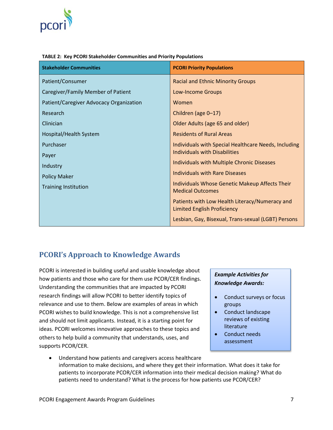

| <b>Stakeholder Communities</b>          | <b>PCORI Priority Populations</b>                                                    |
|-----------------------------------------|--------------------------------------------------------------------------------------|
| Patient/Consumer                        | <b>Racial and Ethnic Minority Groups</b>                                             |
| Caregiver/Family Member of Patient      | <b>Low-Income Groups</b>                                                             |
| Patient/Caregiver Advocacy Organization | Women                                                                                |
| Research                                | Children (age 0-17)                                                                  |
| Clinician                               | Older Adults (age 65 and older)                                                      |
| Hospital/Health System                  | <b>Residents of Rural Areas</b>                                                      |
| Purchaser                               | Individuals with Special Healthcare Needs, Including                                 |
| Payer                                   | <b>Individuals with Disabilities</b>                                                 |
| Industry                                | Individuals with Multiple Chronic Diseases                                           |
| <b>Policy Maker</b>                     | <b>Individuals with Rare Diseases</b>                                                |
| <b>Training Institution</b>             | Individuals Whose Genetic Makeup Affects Their<br><b>Medical Outcomes</b>            |
|                                         | Patients with Low Health Literacy/Numeracy and<br><b>Limited English Proficiency</b> |
|                                         | Lesbian, Gay, Bisexual, Trans-sexual (LGBT) Persons                                  |

#### **TABLE 2: Key PCORI Stakeholder Communities and Priority Populations**

## <span id="page-6-0"></span>**PCORI's Approach to Knowledge Awards**

PCORI is interested in building useful and usable knowledge about how patients and those who care for them use PCOR/CER findings. Understanding the communities that are impacted by PCORI research findings will allow PCORI to better identify topics of relevance and use to them. Below are examples of areas in which PCORI wishes to build knowledge. This is not a comprehensive list and should not limit applicants. Instead, it is a starting point for ideas. PCORI welcomes innovative approaches to these topics and others to help build a community that understands, uses, and supports PCOR/CER.

#### *Example Activities for Knowledge Awards:*

- Conduct surveys or focus groups
- Conduct landscape reviews of existing literature
- Conduct needs assessment
- Understand how patients and caregivers access healthcare information to make decisions, and where they get their information. What does it take for patients to incorporate PCOR/CER information into their medical decision making? What do patients need to understand? What is the process for how patients use PCOR/CER?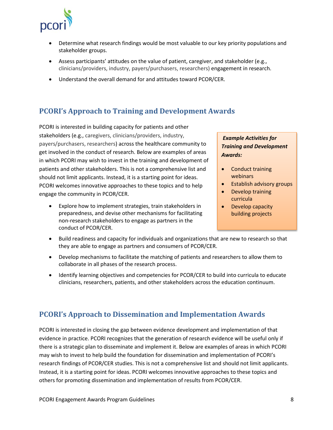

- Determine what research findings would be most valuable to our key priority populations and stakeholder groups.
- Assess participants' attitudes on the value of patient, caregiver, and stakeholder (e.g., clinicians/providers, industry, payers/purchasers, researchers) engagement in research.
- Understand the overall demand for and attitudes toward PCOR/CER.

# <span id="page-7-0"></span>**PCORI's Approach to Training and Development Awards**

PCORI is interested in building capacity for patients and other stakeholders (e.g., caregivers, clinicians/providers, industry, payers/purchasers, researchers) across the healthcare community to get involved in the conduct of research. Below are examples of areas in which PCORI may wish to invest in the training and development of patients and other stakeholders. This is not a comprehensive list and should not limit applicants. Instead, it is a starting point for ideas. PCORI welcomes innovative approaches to these topics and to help engage the community in PCOR/CER.

• Explore how to implement strategies, train stakeholders in preparedness, and devise other mechanisms for facilitating non-research stakeholders to engage as partners in the conduct of PCOR/CER.

#### *Example Activities for Training and Development Awards:*

- Conduct training webinars
- Establish advisory groups
- Develop training curricula
- Develop capacity building projects
- Build readiness and capacity for individuals and organizations that are new to research so that they are able to engage as partners and consumers of PCOR/CER.
- Develop mechanisms to facilitate the matching of patients and researchers to allow them to collaborate in all phases of the research process.
- Identify learning objectives and competencies for PCOR/CER to build into curricula to educate clinicians, researchers, patients, and other stakeholders across the education continuum.

## <span id="page-7-1"></span>**PCORI's Approach to Dissemination and Implementation Awards**

PCORI is interested in closing the gap between evidence development and implementation of that evidence in practice. PCORI recognizes that the generation of research evidence will be useful only if there is a strategic plan to disseminate and implement it. Below are examples of areas in which PCORI may wish to invest to help build the foundation for dissemination and implementation of PCORI's research findings of PCOR/CER studies. This is not a comprehensive list and should not limit applicants. Instead, it is a starting point for ideas. PCORI welcomes innovative approaches to these topics and others for promoting dissemination and implementation of results from PCOR/CER.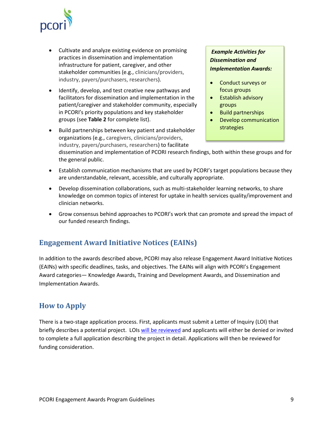

- Cultivate and analyze existing evidence on promising practices in dissemination and implementation infrastructure for patient, caregiver, and other stakeholder communities (e.g., clinicians/providers, industry, payers/purchasers, researchers).
- Identify, develop, and test creative new pathways and facilitators for dissemination and implementation in the patient/caregiver and stakeholder community, especially in PCORI's priority populations and key stakeholder groups (see **Table 2** for complete list).
- Build partnerships between key patient and stakeholder organizations (e.g., caregivers, clinicians/providers, industry, payers/purchasers, researchers) to facilitate

### *Example Activities for Dissemination and Implementation Awards:*

- Conduct surveys or focus groups
- Establish advisory groups
- Build partnerships
- Develop communication strategies

dissemination and implementation of PCORI research findings, both within these groups and for the general public.

- Establish communication mechanisms that are used by PCORI's target populations because they are understandable, relevant, accessible, and culturally appropriate.
- Develop dissemination collaborations, such as multi-stakeholder learning networks, to share knowledge on common topics of interest for uptake in health services quality/improvement and clinician networks.
- Grow consensus behind approaches to PCORI's work that can promote and spread the impact of our funded research findings.

# <span id="page-8-0"></span>**Engagement Award Initiative Notices (EAINs)**

In addition to the awards described above, PCORI may also release Engagement Award Initiative Notices (EAINs) with specific deadlines, tasks, and objectives. The EAINs will align with PCORI's Engagement Award categories— Knowledge Awards, Training and Development Awards, and Dissemination and Implementation Awards.

## <span id="page-8-1"></span>**How to Apply**

There is a two-stage application process. First, applicants must submit a Letter of Inquiry (LOI) that briefly describes a potential project. LOI[s will be reviewed](http://www.pcori.org/eugene-washington-pcori-engagement-awards-review-process/) and applicants will either be denied or invited to complete a full application describing the project in detail. Applications will then be reviewed for funding consideration.